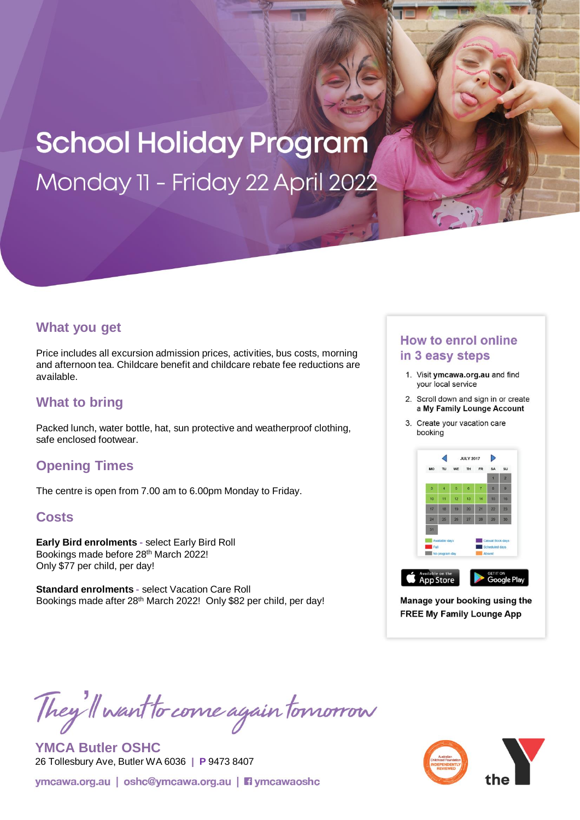# **School Holiday Program** Monday 11 - Friday 22 April 2022

### **What you get**

Price includes all excursion admission prices, activities, bus costs, morning and afternoon tea. Childcare benefit and childcare rebate fee reductions are available.

## **What to bring**

Packed lunch, water bottle, hat, sun protective and weatherproof clothing, safe enclosed footwear.

## **Opening Times**

The centre is open from 7.00 am to 6.00pm Monday to Friday.

### **Costs**

**Early Bird enrolments -** select Early Bird Roll Bookings made before 28<sup>th</sup> March 2022! Only \$77 per child, per day!

**Standard enrolments -** select Vacation Care Roll Bookings made after 28<sup>th</sup> March 2022! Only \$82 per child, per day!

## **How to enrol online** in 3 easy steps

- 1. Visit ymcawa.org.au and find your local service
- 2. Scroll down and sign in or create a My Family Lounge Account
- 3. Create your vacation care booking



Manage your booking using the **FREE My Family Lounge App** 

They'll want to come again tomorrow

**YMCA Butler OSHC**  26 Tollesbury Ave, Butler WA 6036 **| P** 9473 8407

ymcawa.org.au | oshc@ymcawa.org.au | **Fi** ymcawaoshc